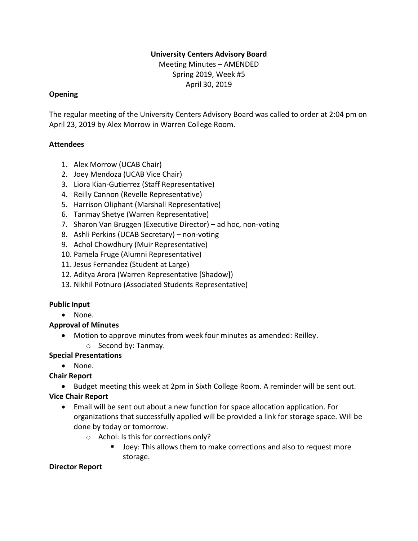#### **University Centers Advisory Board**

Meeting Minutes – AMENDED Spring 2019, Week #5 April 30, 2019

#### **Opening**

The regular meeting of the University Centers Advisory Board was called to order at 2:04 pm on April 23, 2019 by Alex Morrow in Warren College Room.

## **Attendees**

- 1. Alex Morrow (UCAB Chair)
- 2. Joey Mendoza (UCAB Vice Chair)
- 3. Liora Kian-Gutierrez (Staff Representative)
- 4. Reilly Cannon (Revelle Representative)
- 5. Harrison Oliphant (Marshall Representative)
- 6. Tanmay Shetye (Warren Representative)
- 7. Sharon Van Bruggen (Executive Director) ad hoc, non-voting
- 8. Ashli Perkins (UCAB Secretary) non-voting
- 9. Achol Chowdhury (Muir Representative)
- 10. Pamela Fruge (Alumni Representative)
- 11. Jesus Fernandez (Student at Large)
- 12. Aditya Arora (Warren Representative [Shadow])
- 13. Nikhil Potnuro (Associated Students Representative)

## **Public Input**

• None.

## **Approval of Minutes**

- Motion to approve minutes from week four minutes as amended: Reilley.
	- o Second by: Tanmay.

## **Special Presentations**

• None.

**Chair Report**

• Budget meeting this week at 2pm in Sixth College Room. A reminder will be sent out.

## **Vice Chair Report**

- Email will be sent out about a new function for space allocation application. For organizations that successfully applied will be provided a link for storage space. Will be done by today or tomorrow.
	- o Achol: Is this for corrections only?
		- Joey: This allows them to make corrections and also to request more storage.

#### **Director Report**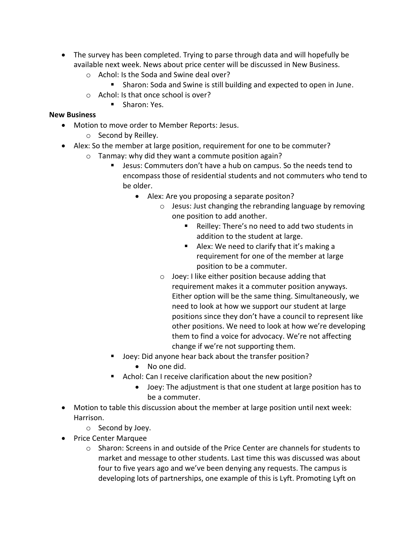- The survey has been completed. Trying to parse through data and will hopefully be available next week. News about price center will be discussed in New Business.
	- o Achol: Is the Soda and Swine deal over?
		- Sharon: Soda and Swine is still building and expected to open in June.
	- o Achol: Is that once school is over?
		- Sharon: Yes.

## **New Business**

- Motion to move order to Member Reports: Jesus.
	- o Second by Reilley.
- Alex: So the member at large position, requirement for one to be commuter?
	- o Tanmay: why did they want a commute position again?
		- Jesus: Commuters don't have a hub on campus. So the needs tend to encompass those of residential students and not commuters who tend to be older.
			- Alex: Are you proposing a separate positon?
				- o Jesus: Just changing the rebranding language by removing one position to add another.
					- Reilley: There's no need to add two students in addition to the student at large.
					- Alex: We need to clarify that it's making a requirement for one of the member at large position to be a commuter.
				- o Joey: I like either position because adding that requirement makes it a commuter position anyways. Either option will be the same thing. Simultaneously, we need to look at how we support our student at large positions since they don't have a council to represent like other positions. We need to look at how we're developing them to find a voice for advocacy. We're not affecting change if we're not supporting them.
		- Joey: Did anyone hear back about the transfer position?
			- No one did.
		- Achol: Can I receive clarification about the new position?
			- Joey: The adjustment is that one student at large position has to be a commuter.
- Motion to table this discussion about the member at large position until next week: Harrison.
	- o Second by Joey.
- Price Center Marquee
	- $\circ$  Sharon: Screens in and outside of the Price Center are channels for students to market and message to other students. Last time this was discussed was about four to five years ago and we've been denying any requests. The campus is developing lots of partnerships, one example of this is Lyft. Promoting Lyft on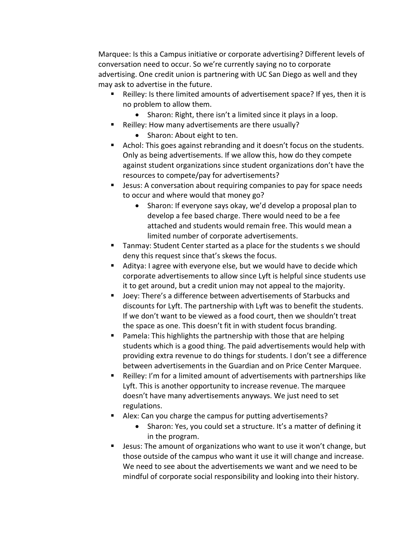Marquee: Is this a Campus initiative or corporate advertising? Different levels of conversation need to occur. So we're currently saying no to corporate advertising. One credit union is partnering with UC San Diego as well and they may ask to advertise in the future.

- Reilley: Is there limited amounts of advertisement space? If yes, then it is no problem to allow them.
	- Sharon: Right, there isn't a limited since it plays in a loop.
- Reilley: How many advertisements are there usually?
	- Sharon: About eight to ten.
- Achol: This goes against rebranding and it doesn't focus on the students. Only as being advertisements. If we allow this, how do they compete against student organizations since student organizations don't have the resources to compete/pay for advertisements?
- Jesus: A conversation about requiring companies to pay for space needs to occur and where would that money go?
	- Sharon: If everyone says okay, we'd develop a proposal plan to develop a fee based charge. There would need to be a fee attached and students would remain free. This would mean a limited number of corporate advertisements.
- Tanmay: Student Center started as a place for the students s we should deny this request since that's skews the focus.
- Aditya: I agree with everyone else, but we would have to decide which corporate advertisements to allow since Lyft is helpful since students use it to get around, but a credit union may not appeal to the majority.
- Joey: There's a difference between advertisements of Starbucks and discounts for Lyft. The partnership with Lyft was to benefit the students. If we don't want to be viewed as a food court, then we shouldn't treat the space as one. This doesn't fit in with student focus branding.
- Pamela: This highlights the partnership with those that are helping students which is a good thing. The paid advertisements would help with providing extra revenue to do things for students. I don't see a difference between advertisements in the Guardian and on Price Center Marquee.
- Reilley: I'm for a limited amount of advertisements with partnerships like Lyft. This is another opportunity to increase revenue. The marquee doesn't have many advertisements anyways. We just need to set regulations.
- Alex: Can you charge the campus for putting advertisements?
	- Sharon: Yes, you could set a structure. It's a matter of defining it in the program.
- Jesus: The amount of organizations who want to use it won't change, but those outside of the campus who want it use it will change and increase. We need to see about the advertisements we want and we need to be mindful of corporate social responsibility and looking into their history.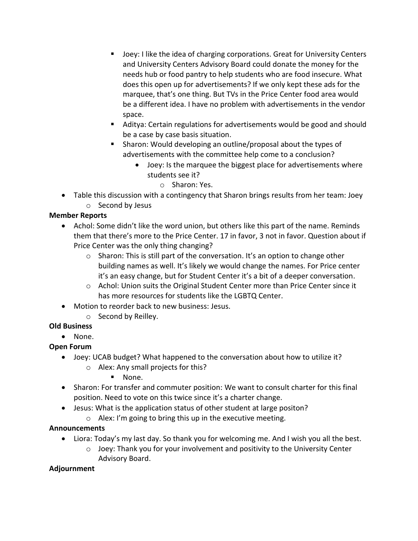- Joey: I like the idea of charging corporations. Great for University Centers and University Centers Advisory Board could donate the money for the needs hub or food pantry to help students who are food insecure. What does this open up for advertisements? If we only kept these ads for the marquee, that's one thing. But TVs in the Price Center food area would be a different idea. I have no problem with advertisements in the vendor space.
- Aditya: Certain regulations for advertisements would be good and should be a case by case basis situation.
- Sharon: Would developing an outline/proposal about the types of advertisements with the committee help come to a conclusion?
	- Joey: Is the marquee the biggest place for advertisements where students see it?
		- o Sharon: Yes.
- Table this discussion with a contingency that Sharon brings results from her team: Joey o Second by Jesus
- **Member Reports**
	- Achol: Some didn't like the word union, but others like this part of the name. Reminds them that there's more to the Price Center. 17 in favor, 3 not in favor. Question about if Price Center was the only thing changing?
		- o Sharon: This is still part of the conversation. It's an option to change other building names as well. It's likely we would change the names. For Price center it's an easy change, but for Student Center it's a bit of a deeper conversation.
		- $\circ$  Achol: Union suits the Original Student Center more than Price Center since it has more resources for students like the LGBTQ Center.
	- Motion to reorder back to new business: Jesus.
		- o Second by Reilley.

# **Old Business**

- None.
- **Open Forum**
	- Joey: UCAB budget? What happened to the conversation about how to utilize it?
		- o Alex: Any small projects for this?
			- None.
	- Sharon: For transfer and commuter position: We want to consult charter for this final position. Need to vote on this twice since it's a charter change.
	- Jesus: What is the application status of other student at large positon?
		- o Alex: I'm going to bring this up in the executive meeting.

## **Announcements**

- Liora: Today's my last day. So thank you for welcoming me. And I wish you all the best.
	- $\circ$  Joey: Thank you for your involvement and positivity to the University Center Advisory Board.

## **Adjournment**